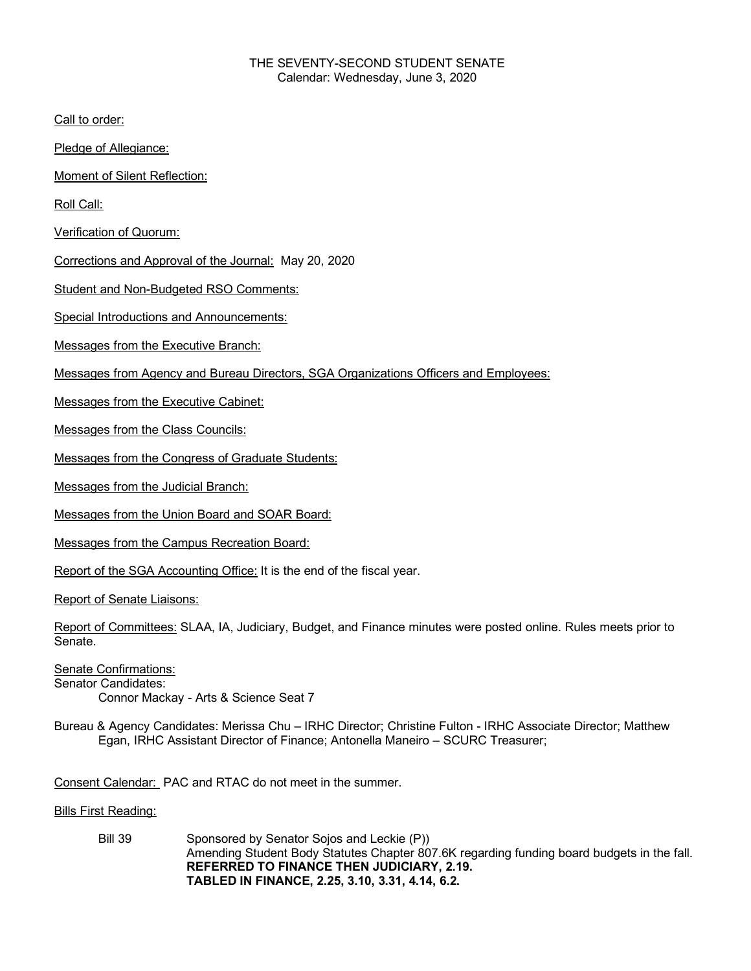## THE SEVENTY-SECOND STUDENT SENATE Calendar: Wednesday, June 3, 2020

Call to order:

Pledge of Allegiance:

Moment of Silent Reflection:

Roll Call:

Verification of Quorum:

Corrections and Approval of the Journal: May 20, 2020

Student and Non-Budgeted RSO Comments:

Special Introductions and Announcements:

Messages from the Executive Branch:

Messages from Agency and Bureau Directors, SGA Organizations Officers and Employees:

Messages from the Executive Cabinet:

Messages from the Class Councils:

Messages from the Congress of Graduate Students:

Messages from the Judicial Branch:

Messages from the Union Board and SOAR Board:

Messages from the Campus Recreation Board:

Report of the SGA Accounting Office: It is the end of the fiscal year.

Report of Senate Liaisons:

Report of Committees: SLAA, IA, Judiciary, Budget, and Finance minutes were posted online. Rules meets prior to Senate.

Senate Confirmations: Senator Candidates: Connor Mackay - Arts & Science Seat 7

Bureau & Agency Candidates: Merissa Chu – IRHC Director; Christine Fulton - IRHC Associate Director; Matthew Egan, IRHC Assistant Director of Finance; Antonella Maneiro – SCURC Treasurer;

Consent Calendar: PAC and RTAC do not meet in the summer.

Bills First Reading:

Bill 39 Sponsored by Senator Sojos and Leckie (P)) Amending Student Body Statutes Chapter 807.6K regarding funding board budgets in the fall. **REFERRED TO FINANCE THEN JUDICIARY, 2.19. TABLED IN FINANCE, 2.25, 3.10, 3.31, 4.14, 6.2.**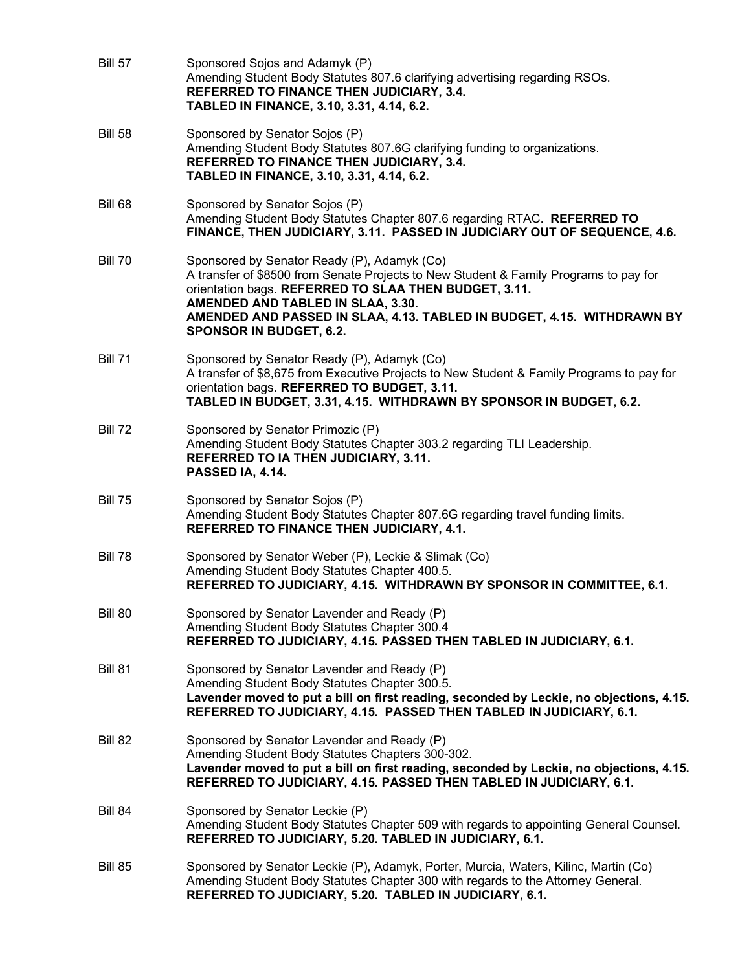| <b>Bill 57</b> | Sponsored Sojos and Adamyk (P)<br>Amending Student Body Statutes 807.6 clarifying advertising regarding RSOs.<br>REFERRED TO FINANCE THEN JUDICIARY, 3.4.<br>TABLED IN FINANCE, 3.10, 3.31, 4.14, 6.2.                                                                                                                                         |
|----------------|------------------------------------------------------------------------------------------------------------------------------------------------------------------------------------------------------------------------------------------------------------------------------------------------------------------------------------------------|
| <b>Bill 58</b> | Sponsored by Senator Sojos (P)<br>Amending Student Body Statutes 807.6G clarifying funding to organizations.<br>REFERRED TO FINANCE THEN JUDICIARY, 3.4.<br>TABLED IN FINANCE, 3.10, 3.31, 4.14, 6.2.                                                                                                                                          |
| <b>Bill 68</b> | Sponsored by Senator Sojos (P)<br>Amending Student Body Statutes Chapter 807.6 regarding RTAC. REFERRED TO<br>FINANCE, THEN JUDICIARY, 3.11. PASSED IN JUDICIARY OUT OF SEQUENCE, 4.6.                                                                                                                                                         |
| <b>Bill 70</b> | Sponsored by Senator Ready (P), Adamyk (Co)<br>A transfer of \$8500 from Senate Projects to New Student & Family Programs to pay for<br>orientation bags. REFERRED TO SLAA THEN BUDGET, 3.11.<br>AMENDED AND TABLED IN SLAA, 3.30.<br>AMENDED AND PASSED IN SLAA, 4.13. TABLED IN BUDGET, 4.15. WITHDRAWN BY<br><b>SPONSOR IN BUDGET, 6.2.</b> |
| <b>Bill 71</b> | Sponsored by Senator Ready (P), Adamyk (Co)<br>A transfer of \$8,675 from Executive Projects to New Student & Family Programs to pay for<br>orientation bags. REFERRED TO BUDGET, 3.11.<br>TABLED IN BUDGET, 3.31, 4.15. WITHDRAWN BY SPONSOR IN BUDGET, 6.2.                                                                                  |
| <b>Bill 72</b> | Sponsored by Senator Primozic (P)<br>Amending Student Body Statutes Chapter 303.2 regarding TLI Leadership.<br><b>REFERRED TO IA THEN JUDICIARY, 3.11.</b><br>PASSED IA, 4.14.                                                                                                                                                                 |
| <b>Bill 75</b> | Sponsored by Senator Sojos (P)<br>Amending Student Body Statutes Chapter 807.6G regarding travel funding limits.<br>REFERRED TO FINANCE THEN JUDICIARY, 4.1.                                                                                                                                                                                   |
| <b>Bill 78</b> | Sponsored by Senator Weber (P), Leckie & Slimak (Co)<br>Amending Student Body Statutes Chapter 400.5.<br>REFERRED TO JUDICIARY, 4.15. WITHDRAWN BY SPONSOR IN COMMITTEE, 6.1.                                                                                                                                                                  |
| <b>Bill 80</b> | Sponsored by Senator Lavender and Ready (P)<br>Amending Student Body Statutes Chapter 300.4<br>REFERRED TO JUDICIARY, 4.15. PASSED THEN TABLED IN JUDICIARY, 6.1.                                                                                                                                                                              |
| <b>Bill 81</b> | Sponsored by Senator Lavender and Ready (P)<br>Amending Student Body Statutes Chapter 300.5.<br>Lavender moved to put a bill on first reading, seconded by Leckie, no objections, 4.15.<br>REFERRED TO JUDICIARY, 4.15. PASSED THEN TABLED IN JUDICIARY, 6.1.                                                                                  |
| Bill 82        | Sponsored by Senator Lavender and Ready (P)<br>Amending Student Body Statutes Chapters 300-302.<br>Lavender moved to put a bill on first reading, seconded by Leckie, no objections, 4.15.<br>REFERRED TO JUDICIARY, 4.15. PASSED THEN TABLED IN JUDICIARY, 6.1.                                                                               |
| <b>Bill 84</b> | Sponsored by Senator Leckie (P)<br>Amending Student Body Statutes Chapter 509 with regards to appointing General Counsel.<br>REFERRED TO JUDICIARY, 5.20. TABLED IN JUDICIARY, 6.1.                                                                                                                                                            |
| Bill 85        | Sponsored by Senator Leckie (P), Adamyk, Porter, Murcia, Waters, Kilinc, Martin (Co)<br>Amending Student Body Statutes Chapter 300 with regards to the Attorney General.<br>REFERRED TO JUDICIARY, 5.20. TABLED IN JUDICIARY, 6.1.                                                                                                             |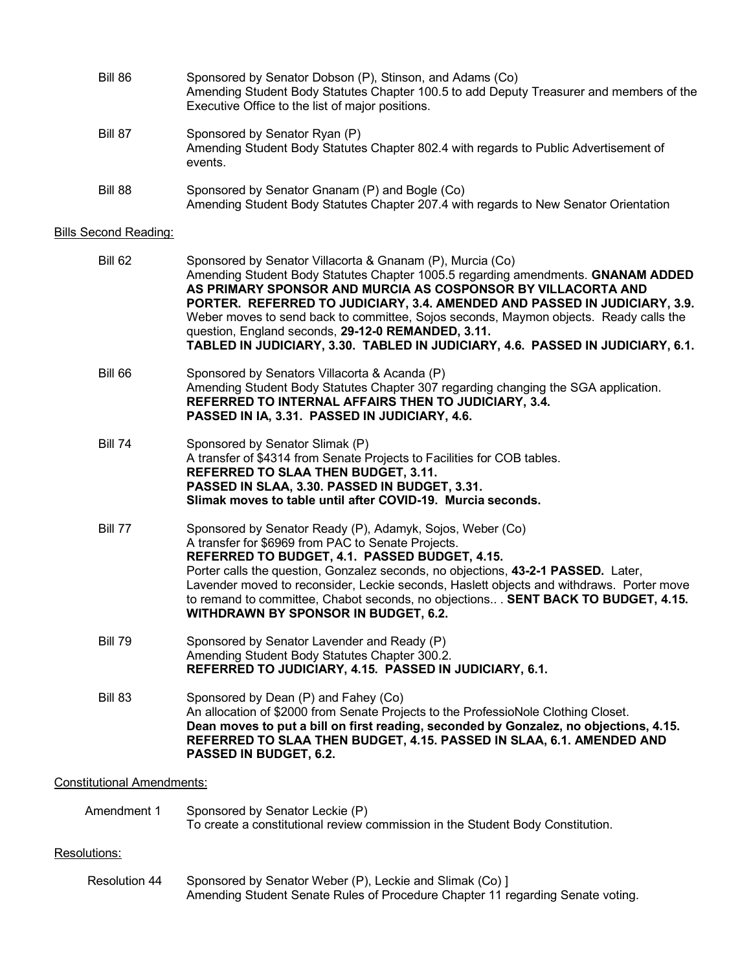| Bill 86                      | Sponsored by Senator Dobson (P), Stinson, and Adams (Co)<br>Amending Student Body Statutes Chapter 100.5 to add Deputy Treasurer and members of the<br>Executive Office to the list of major positions.       |
|------------------------------|---------------------------------------------------------------------------------------------------------------------------------------------------------------------------------------------------------------|
| Bill 87                      | Sponsored by Senator Ryan (P)<br>Amending Student Body Statutes Chapter 802.4 with regards to Public Advertisement of<br>events.                                                                              |
| Bill 88                      | Sponsored by Senator Gnanam (P) and Bogle (Co)<br>Amending Student Body Statutes Chapter 207.4 with regards to New Senator Orientation                                                                        |
| <b>Bills Second Reading:</b> |                                                                                                                                                                                                               |
| <b>Bill 62</b>               | Sponsored by Senator Villacorta & Gnanam (P), Murcia (Co)<br>Amending Student Body Statutes Chapter 1005.5 regarding amendments. GNANAM ADDED<br>AS PRIMARY SPONSOR AND MURCIA AS COSPONSOR BY VILLACORTA AND |

**PORTER. REFERRED TO JUDICIARY, 3.4. AMENDED AND PASSED IN JUDICIARY, 3.9.**  Weber moves to send back to committee, Sojos seconds, Maymon objects. Ready calls the question, England seconds, **29-12-0 REMANDED, 3.11. TABLED IN JUDICIARY, 3.30. TABLED IN JUDICIARY, 4.6. PASSED IN JUDICIARY, 6.1.** Bill 66 Sponsored by Senators Villacorta & Acanda (P) Amending Student Body Statutes Chapter 307 regarding changing the SGA application. **REFERRED TO INTERNAL AFFAIRS THEN TO JUDICIARY, 3.4. PASSED IN IA, 3.31. PASSED IN JUDICIARY, 4.6.** Bill 74 Sponsored by Senator Slimak (P) A transfer of \$4314 from Senate Projects to Facilities for COB tables. **REFERRED TO SLAA THEN BUDGET, 3.11. PASSED IN SLAA, 3.30. PASSED IN BUDGET, 3.31. Slimak moves to table until after COVID-19. Murcia seconds.**  Bill 77 Sponsored by Senator Ready (P), Adamyk, Sojos, Weber (Co) A transfer for \$6969 from PAC to Senate Projects. **REFERRED TO BUDGET, 4.1. PASSED BUDGET, 4.15.**

Porter calls the question, Gonzalez seconds, no objections, **43-2-1 PASSED.** Later, Lavender moved to reconsider, Leckie seconds, Haslett objects and withdraws. Porter move to remand to committee, Chabot seconds, no objections.. . **SENT BACK TO BUDGET, 4.15. WITHDRAWN BY SPONSOR IN BUDGET, 6.2.**

Bill 79 Sponsored by Senator Lavender and Ready (P) Amending Student Body Statutes Chapter 300.2. **REFERRED TO JUDICIARY, 4.15. PASSED IN JUDICIARY, 6.1.**

Bill 83 Sponsored by Dean (P) and Fahey (Co) An allocation of \$2000 from Senate Projects to the ProfessioNole Clothing Closet. **Dean moves to put a bill on first reading, seconded by Gonzalez, no objections, 4.15. REFERRED TO SLAA THEN BUDGET, 4.15. PASSED IN SLAA, 6.1. AMENDED AND PASSED IN BUDGET, 6.2.** 

Constitutional Amendments:

| Amendment 1   | Sponsored by Senator Leckie (P)<br>To create a constitutional review commission in the Student Body Constitution.                          |
|---------------|--------------------------------------------------------------------------------------------------------------------------------------------|
| Resolutions:  |                                                                                                                                            |
| Resolution 44 | Sponsored by Senator Weber (P), Leckie and Slimak (Co) 1<br>Amending Student Senate Rules of Procedure Chapter 11 regarding Senate voting. |